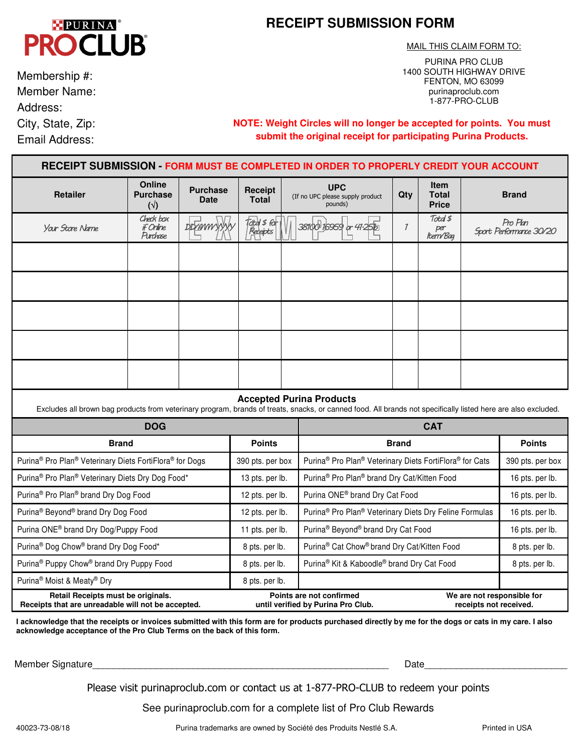## **PURINA OCLUB PR**

# **RECEIPT SUBMISSION FORM**

MAIL THIS CLAIM FORM TO: PURINA PRO CLUB

1400 SOUTH HIGHWAY DRIVE FENTON, MO 63099 purinaproclub.com 1-877-PRO-CLUB

 Member Name: Membership #: Address: City, State, Zip:

Email Address:

**NOTE: Weight Circles will no longer be accepted for points. You must submit the original receipt for participating Purina Products.** 

| RECEIPT SUBMISSION - FORM MUST BE COMPLETED IN ORDER TO PROPERLY CREDIT YOUR ACCOUNT        |                                           |                                |                                                                |            |                                                                                                                                                                                                  |               |                                             |                                                      |                 |  |
|---------------------------------------------------------------------------------------------|-------------------------------------------|--------------------------------|----------------------------------------------------------------|------------|--------------------------------------------------------------------------------------------------------------------------------------------------------------------------------------------------|---------------|---------------------------------------------|------------------------------------------------------|-----------------|--|
| <b>Retailer</b>                                                                             | Online<br><b>Purchase</b><br>$(\sqrt{2})$ | <b>Purchase</b><br><b>Date</b> | Receipt<br><b>Total</b>                                        |            | <b>UPC</b><br>(If no UPC please supply product<br>pounds)                                                                                                                                        | Qty           | <b>Item</b><br><b>Total</b><br><b>Price</b> | <b>Brand</b>                                         |                 |  |
| Your Store Name                                                                             | Check box<br>if Online<br>Purchase        | <b>DDYMWYYYY</b>               | Tojtal \$ for<br>  Receipts                                    |            | 38100 16959 or 41.25b                                                                                                                                                                            | $\mathcal{I}$ | Total \$<br>per<br>Item/Bag                 | Pro Plan<br>Sport Performance 30/20                  |                 |  |
|                                                                                             |                                           |                                |                                                                |            |                                                                                                                                                                                                  |               |                                             |                                                      |                 |  |
|                                                                                             |                                           |                                |                                                                |            |                                                                                                                                                                                                  |               |                                             |                                                      |                 |  |
|                                                                                             |                                           |                                |                                                                |            |                                                                                                                                                                                                  |               |                                             |                                                      |                 |  |
|                                                                                             |                                           |                                |                                                                |            |                                                                                                                                                                                                  |               |                                             |                                                      |                 |  |
|                                                                                             |                                           |                                |                                                                |            |                                                                                                                                                                                                  |               |                                             |                                                      |                 |  |
|                                                                                             |                                           |                                |                                                                |            | <b>Accepted Purina Products</b><br>Excludes all brown bag products from veterinary program, brands of treats, snacks, or canned food. All brands not specifically listed here are also excluded. |               |                                             |                                                      |                 |  |
| <b>DOG</b>                                                                                  |                                           |                                |                                                                | <b>CAT</b> |                                                                                                                                                                                                  |               |                                             |                                                      |                 |  |
| <b>Brand</b>                                                                                |                                           |                                | <b>Points</b>                                                  |            | <b>Brand</b>                                                                                                                                                                                     |               |                                             | <b>Points</b>                                        |                 |  |
| Purina <sup>®</sup> Pro Plan <sup>®</sup> Veterinary Diets FortiFlora <sup>®</sup> for Dogs |                                           |                                | 390 pts. per box                                               |            | Purina <sup>®</sup> Pro Plan <sup>®</sup> Veterinary Diets FortiFlora <sup>®</sup> for Cats                                                                                                      |               |                                             | 390 pts. per box                                     |                 |  |
| Purina® Pro Plan® Veterinary Diets Dry Dog Food*                                            |                                           |                                | 13 pts. per lb.                                                |            | Purina <sup>®</sup> Pro Plan <sup>®</sup> brand Dry Cat/Kitten Food                                                                                                                              |               |                                             |                                                      | 16 pts. per lb. |  |
| Purina® Pro Plan® brand Dry Dog Food                                                        |                                           |                                | 12 pts. per lb.                                                |            | Purina ONE® brand Dry Cat Food                                                                                                                                                                   |               |                                             |                                                      | 16 pts. per lb. |  |
| Purina® Beyond® brand Dry Dog Food                                                          |                                           |                                | 12 pts. per lb.                                                |            | Purina <sup>®</sup> Pro Plan <sup>®</sup> Veterinary Diets Dry Feline Formulas                                                                                                                   |               |                                             |                                                      | 16 pts. per lb. |  |
| Purina ONE® brand Dry Dog/Puppy Food                                                        |                                           |                                | 11 pts. per lb.                                                |            | Purina® Beyond® brand Dry Cat Food                                                                                                                                                               |               |                                             |                                                      | 16 pts. per lb. |  |
| Purina® Dog Chow® brand Dry Dog Food*                                                       |                                           |                                | 8 pts. per lb.                                                 |            | Purina® Cat Chow® brand Dry Cat/Kitten Food                                                                                                                                                      |               |                                             |                                                      | 8 pts. per lb.  |  |
| Purina <sup>®</sup> Puppy Chow <sup>®</sup> brand Dry Puppy Food                            |                                           |                                | 8 pts. per lb.                                                 |            | Purina <sup>®</sup> Kit & Kaboodle® brand Dry Cat Food                                                                                                                                           |               |                                             | 8 pts. per lb.                                       |                 |  |
| Purina® Moist & Meaty® Dry                                                                  | 8 pts. per lb.                            |                                |                                                                |            |                                                                                                                                                                                                  |               |                                             |                                                      |                 |  |
| Retail Receipts must be originals.<br>Receipts that are unreadable will not be accepted.    |                                           |                                | Points are not confirmed<br>until verified by Purina Pro Club. |            |                                                                                                                                                                                                  |               |                                             | We are not responsible for<br>receipts not received. |                 |  |

**I acknowledge that the receipts or invoices submitted with this form are for products purchased directly by me for the dogs or cats in my care. I also acknowledge acceptance of the Pro Club Terms on the back of this form.** 

Member Signature **Matter Signature** and the state of the state of the state of the state of the state of the state of the state of the state of the state of the state of the state of the state of the state of the state of

Please visit purinaproclub.com or contact us at 1-877-PRO-CLUB to redeem your points

See purinaproclub.com for a complete list of Pro Club Rewards